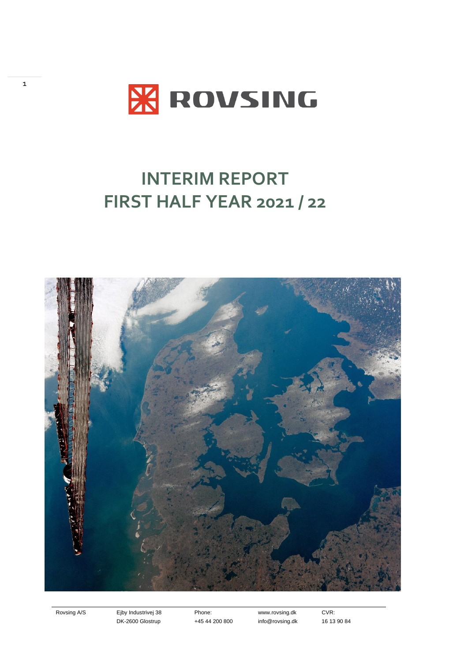

# **INTERIM REPORT FIRST HALF YEAR 2021 / 22**



1

Rovsing A/S Ejby Industrivej 38 DK-2600 Glostrup

Phone: +45 44 200 800

www.rovsing.dk info@rovsing.dk CVR: 16 13 90 84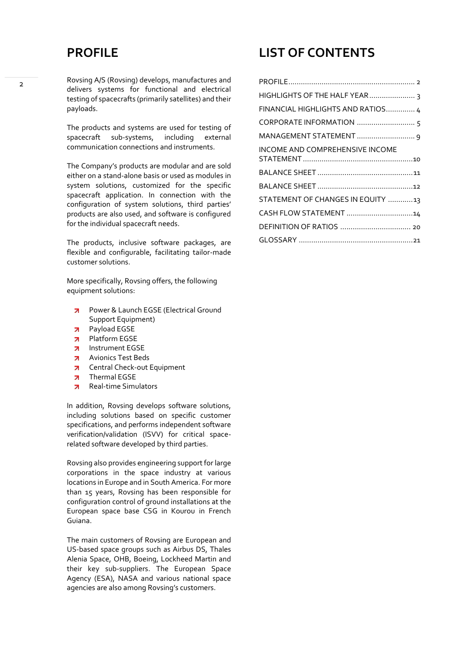### <span id="page-1-0"></span>**PROFILE**

Rovsing A/S (Rovsing) develops, manufactures and delivers systems for functional and electrical testing of spacecrafts (primarily satellites) and their payloads.

The products and systems are used for testing of spacecraft sub-systems, including external communication connections and instruments.

The Company's products are modular and are sold either on a stand-alone basis or used as modules in system solutions, customized for the specific spacecraft application. In connection with the configuration of system solutions, third parties' products are also used, and software is configured for the individual spacecraft needs.

The products, inclusive software packages, are flexible and configurable, facilitating tailor-made customer solutions.

More specifically, Rovsing offers, the following equipment solutions:

- Power & Launch EGSE (Electrical Ground  $\overline{\phantom{a}}$ Support Equipment)
- Payload EGSE  $\overline{\phantom{a}}$
- **7** Platform EGSE
- $\overline{\phantom{a}}$ Instrument EGSE
- Avionics Test Beds  $\overline{\phantom{a}}$
- $\overline{\phantom{a}}$ Central Check-out Equipment
- Thermal EGSE  $\overline{\phantom{a}}$
- **z** Real-time Simulators

In addition, Rovsing develops software solutions, including solutions based on specific customer specifications, and performs independent software verification/validation (ISVV) for critical spacerelated software developed by third parties.

Rovsing also provides engineering support for large corporations in the space industry at various locations in Europe and in South America. For more than 15 years, Rovsing has been responsible for configuration control of ground installations at the European space base CSG in Kourou in French Guiana.

The main customers of Rovsing are European and US-based space groups such as Airbus DS, Thales Alenia Space, OHB, Boeing, Lockheed Martin and their key sub-suppliers. The European Space Agency (ESA), NASA and various national space agencies are also among Rovsing's customers.

### **LIST OF CONTENTS**

| FINANCIAL HIGHLIGHTS AND RATIOS 4 |  |
|-----------------------------------|--|
|                                   |  |
|                                   |  |
| INCOME AND COMPREHENSIVE INCOME   |  |
|                                   |  |
|                                   |  |
| STATEMENT OF CHANGES IN EQUITY 13 |  |
| CASH FLOW STATEMENT 14            |  |
|                                   |  |
|                                   |  |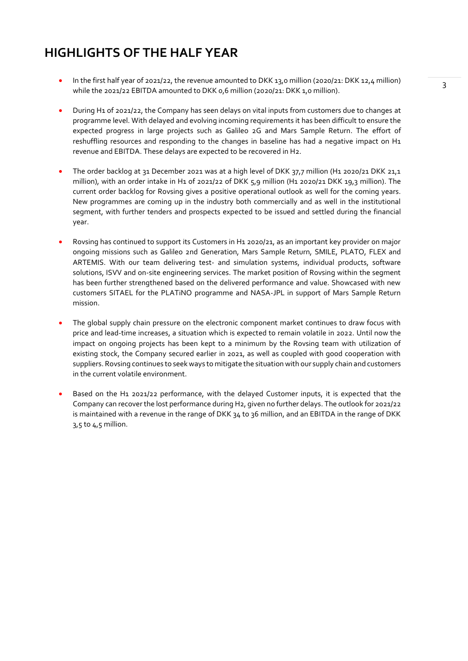### <span id="page-2-0"></span>**HIGHLIGHTS OF THE HALF YEAR**

- In the first half year of 2021/22, the revenue amounted to DKK 13,0 million (2020/21: DKK 12,4 million) while the 2021/22 EBITDA amounted to DKK 0,6 million (2020/21: DKK 1,0 million).
- During H1 of 2021/22, the Company has seen delays on vital inputs from customers due to changes at programme level. With delayed and evolving incoming requirements it has been difficult to ensure the expected progress in large projects such as Galileo 2G and Mars Sample Return. The effort of reshuffling resources and responding to the changes in baseline has had a negative impact on H1 revenue and EBITDA. These delays are expected to be recovered in H2.
- The order backlog at 31 December 2021 was at a high level of DKK 37,7 million (H1 2020/21 DKK 21,1 million), with an order intake in H1 of 2021/22 of DKK 5,9 million (H1 2020/21 DKK 19,3 million). The current order backlog for Rovsing gives a positive operational outlook as well for the coming years. New programmes are coming up in the industry both commercially and as well in the institutional segment, with further tenders and prospects expected to be issued and settled during the financial year.
- Rovsing has continued to support its Customers in H1 2020/21, as an important key provider on major ongoing missions such as Galileo 2nd Generation, Mars Sample Return, SMILE, PLATO, FLEX and ARTEMIS. With our team delivering test- and simulation systems, individual products, software solutions, ISVV and on-site engineering services. The market position of Rovsing within the segment has been further strengthened based on the delivered performance and value. Showcased with new customers SITAEL for the PLATiNO programme and NASA-JPL in support of Mars Sample Return mission.
- The global supply chain pressure on the electronic component market continues to draw focus with price and lead-time increases, a situation which is expected to remain volatile in 2022. Until now the impact on ongoing projects has been kept to a minimum by the Rovsing team with utilization of existing stock, the Company secured earlier in 2021, as well as coupled with good cooperation with suppliers. Rovsing continues to seek ways to mitigate the situation with our supply chain and customers in the current volatile environment.
- Based on the H1 2021/22 performance, with the delayed Customer inputs, it is expected that the Company can recover the lost performance during H2, given no further delays. The outlook for 2021/22 is maintained with a revenue in the range of DKK 34 to 36 million, and an EBITDA in the range of DKK 3,5 to 4,5 million.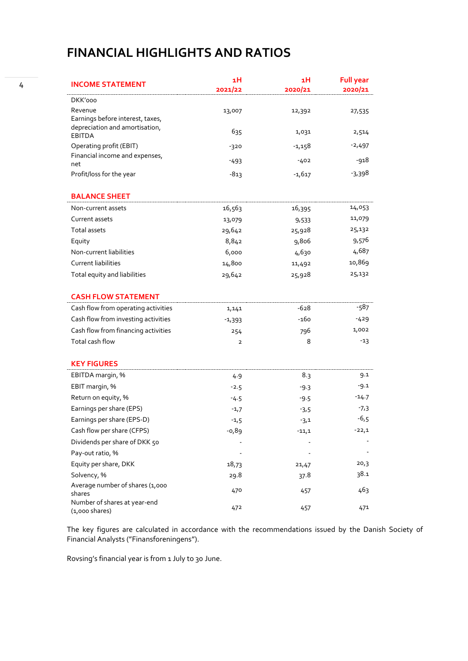### <span id="page-3-0"></span>**FINANCIAL HIGHLIGHTS AND RATIOS**

| <b>INCOME STATEMENT</b>                                  | ıН<br>2021/22  | ıН<br>2020/21 | <b>Full year</b><br>2020/21 |
|----------------------------------------------------------|----------------|---------------|-----------------------------|
| DKK'000                                                  |                |               |                             |
| Revenue<br>Earnings before interest, taxes,              | 13,007         | 12,392        | 27,535                      |
| depreciation and amortisation,<br><b>EBITDA</b>          | 635            | 1,031         | 2,514                       |
| Operating profit (EBIT)                                  | $-320$         | $-1,158$      | $-2,497$                    |
| Financial income and expenses,<br>net                    | $-493$         | $-402$        | -918                        |
| Profit/loss for the year                                 | $-813$         | $-1,617$      | -3,398                      |
| <b>BALANCE SHEET</b>                                     |                |               |                             |
| Non-current assets                                       | 16,563         | 16,395        | 14,053                      |
| Current assets                                           | 13,079         | 9,533         | 11,079                      |
| Total assets                                             | 29,642         | 25,928        | 25,132                      |
| Equity                                                   | 8,842          | 9,806         | 9,576                       |
| Non-current liabilities                                  | 6,000          | 4,630         | 4,687                       |
| <b>Current liabilities</b>                               | 14,800         | 11,492        | 10,869                      |
| Total equity and liabilities                             | 29,642         | 25,928        | 25,132                      |
| <b>CASH FLOW STATEMENT</b>                               |                |               |                             |
| Cash flow from operating activities                      | 1,141          | $-628$        | -587                        |
| Cash flow from investing activities                      | $-1,393$       | -160          | -429                        |
| Cash flow from financing activities                      | 254            | 796           | 1,002                       |
| Total cash flow                                          | $\overline{2}$ | 8             | $-13$                       |
| <b>KEY FIGURES</b>                                       |                |               |                             |
| EBITDA margin, %                                         | 4.9            | 8.3           | 9.1                         |
| EBIT margin, %                                           | $-2.5$         | $-9.3$        | -9.1                        |
| Return on equity, %                                      | -4.5           | $-9.5$        | $-14.7$                     |
| Earnings per share (EPS)                                 | $-1,7$         | $-3,5$        | $-7,3$                      |
| Earnings per share (EPS-D)                               | $-1,5$         | $-3,1$        | $-6,5$                      |
| Cash flow per share (CFPS)                               | $-0,89$        | $-11,1$       | $-22,1$                     |
| Dividends per share of DKK 50                            |                |               |                             |
| Pay-out ratio, %                                         |                |               |                             |
| Equity per share, DKK                                    | 18,73          | 21,47         | 20,3                        |
| Solvency, %                                              | 29.8           | 37.8          | 38.1                        |
| Average number of shares (1,000<br>shares                | 470            | 457           | 463                         |
| Number of shares at year-end<br>$(1,000 \text{ shares})$ | 472            | 457           | 471                         |

The key figures are calculated in accordance with the recommendations issued by the Danish Society of Financial Analysts ("Finansforeningens").

Rovsing's financial year is from 1 July to 30 June.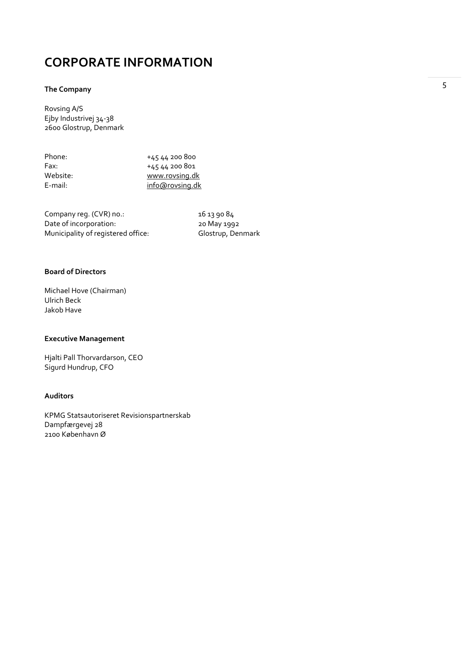### <span id="page-4-0"></span>**CORPORATE INFORMATION**

#### **The Company**

Rovsing A/S Ejby Industrivej 34-38 2600 Glostrup, Denmark

| Phone:     | +45 44 200 800  |
|------------|-----------------|
| Fax:       | +45 44 200 801  |
| Website:   | www.rovsing.dk  |
| $E$ -mail: | info@rovsing.dk |
|            |                 |

Company reg. (CVR) no.: 16 13 90 84<br>Date of incorporation: 20 May 1992 Date of incorporation: 20 May 1992<br>
Municipality of registered office: Glostrup, Denmark Municipality of registered office:

#### **Board of Directors**

Michael Hove (Chairman) Ulrich Beck Jakob Have

#### **Executive Management**

Hjalti Pall Thorvardarson, CEO Sigurd Hundrup, CFO

#### **Auditors**

KPMG Statsautoriseret Revisionspartnerskab Dampfærgevej 28 2100 København Ø

5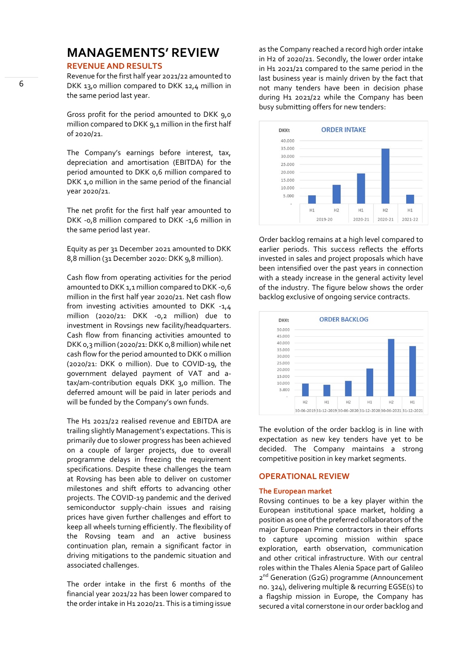## **MANAGEMENTS' REVIEW**

#### **REVENUE AND RESULTS**

Revenue for the first half year 2021/22 amounted to DKK 13,0 million compared to DKK 12,4 million in the same period last year.

Gross profit for the period amounted to DKK 9,0 million compared to DKK 9,1 million in the first half of 2020/21.

The Company's earnings before interest, tax, depreciation and amortisation (EBITDA) for the period amounted to DKK 0,6 million compared to DKK 1,0 million in the same period of the financial year 2020/21.

The net profit for the first half year amounted to DKK -0,8 million compared to DKK -1,6 million in the same period last year.

Equity as per 31 December 2021 amounted to DKK 8,8 million (31 December 2020: DKK 9,8 million).

Cash flow from operating activities for the period amounted to DKK 1,1 million compared to DKK -0,6 million in the first half year 2020/21. Net cash flow from investing activities amounted to DKK -1,4 million (2020/21: DKK -0,2 million) due to investment in Rovsings new facility/headquarters. Cash flow from financing activities amounted to DKK 0,3 million (2020/21: DKK 0,8 million) while net cash flow for the period amounted to DKK o million (2020/21: DKK 0 million). Due to COVID-19, the government delayed payment of VAT and atax/am-contribution equals DKK 3,0 million. The deferred amount will be paid in later periods and will be funded by the Company's own funds.

The H1 2021/22 realised revenue and EBITDA are trailing slightly Management's expectations. This is primarily due to slower progress has been achieved on a couple of larger projects, due to overall programme delays in freezing the requirement specifications. Despite these challenges the team at Rovsing has been able to deliver on customer milestones and shift efforts to advancing other projects. The COVID-19 pandemic and the derived semiconductor supply-chain issues and raising prices have given further challenges and effort to keep all wheels turning efficiently. The flexibility of the Rovsing team and an active business continuation plan, remain a significant factor in driving mitigations to the pandemic situation and associated challenges.

The order intake in the first 6 months of the financial year 2021/22 has been lower compared to the order intake in H1 2020/21. This is a timing issue

as the Company reached a record high order intake in H2 of 2020/21. Secondly, the lower order intake in H1 2021/21 compared to the same period in the last business year is mainly driven by the fact that not many tenders have been in decision phase during H1 2021/22 while the Company has been busy submitting offers for new tenders:



Order backlog remains at a high level compared to earlier periods. This success reflects the efforts invested in sales and project proposals which have been intensified over the past years in connection with a steady increase in the general activity level of the industry. The figure below shows the order backlog exclusive of ongoing service contracts.



The evolution of the order backlog is in line with expectation as new key tenders have yet to be decided. The Company maintains a strong competitive position in key market segments.

#### **OPERATIONAL REVIEW**

#### **The European market**

Rovsing continues to be a key player within the European institutional space market, holding a position as one of the preferred collaborators of the major European Prime contractors in their efforts to capture upcoming mission within space exploration, earth observation, communication and other critical infrastructure. With our central roles within the Thales Alenia Space part of Galileo 2<sup>nd</sup> Generation (G2G) programme (Announcement no. 324), delivering multiple & recurring EGSE(s) to a flagship mission in Europe, the Company has secured a vital cornerstone in our order backlog and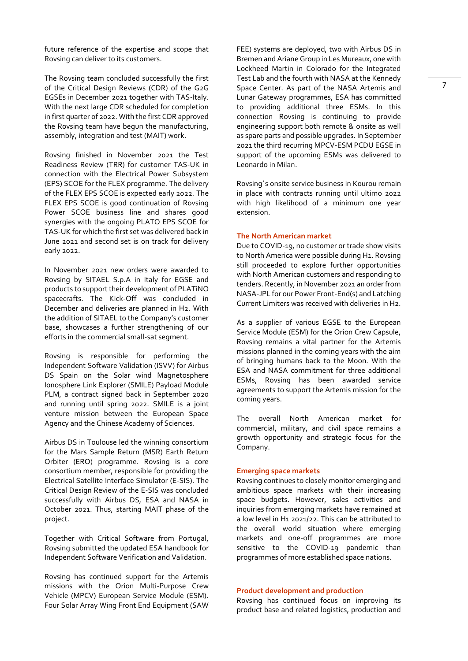future reference of the expertise and scope that Rovsing can deliver to its customers.

The Rovsing team concluded successfully the first of the Critical Design Reviews (CDR) of the G2G EGSEs in December 2021 together with TAS-Italy. With the next large CDR scheduled for completion in first quarter of 2022. With the first CDR approved the Rovsing team have begun the manufacturing, assembly, integration and test (MAIT) work.

Rovsing finished in November 2021 the Test Readiness Review (TRR) for customer TAS-UK in connection with the Electrical Power Subsystem (EPS) SCOE for the FLEX programme. The delivery of the FLEX EPS SCOE is expected early 2022. The FLEX EPS SCOE is good continuation of Rovsing Power SCOE business line and shares good synergies with the ongoing PLATO EPS SCOE for TAS-UK for which the first set was delivered back in June 2021 and second set is on track for delivery early 2022.

In November 2021 new orders were awarded to Rovsing by SITAEL S.p.A in Italy for EGSE and products to support their development of PLATiNO spacecrafts. The Kick-Off was concluded in December and deliveries are planned in H2. With the addition of SITAEL to the Company's customer base, showcases a further strengthening of our efforts in the commercial small-sat segment.

Rovsing is responsible for performing the Independent Software Validation (ISVV) for Airbus DS Spain on the Solar wind Magnetosphere Ionosphere Link Explorer (SMILE) Payload Module PLM, a contract signed back in September 2020 and running until spring 2022. SMILE is a joint venture mission between the European Space Agency and the Chinese Academy of Sciences.

Airbus DS in Toulouse led the winning consortium for the Mars Sample Return (MSR) Earth Return Orbiter (ERO) programme. Rovsing is a core consortium member, responsible for providing the Electrical Satellite Interface Simulator (E-SIS). The Critical Design Review of the E-SIS was concluded successfully with Airbus DS, ESA and NASA in October 2021. Thus, starting MAIT phase of the project.

Together with Critical Software from Portugal, Rovsing submitted the updated ESA handbook for Independent Software Verification and Validation.

Rovsing has continued support for the Artemis missions with the Orion Multi-Purpose Crew Vehicle (MPCV) European Service Module (ESM). Four Solar Array Wing Front End Equipment (SAW FEE) systems are deployed, two with Airbus DS in Bremen and Ariane Group in Les Mureaux, one with Lockheed Martin in Colorado for the Integrated Test Lab and the fourth with NASA at the Kennedy Space Center. As part of the NASA Artemis and Lunar Gateway programmes, ESA has committed to providing additional three ESMs. In this connection Rovsing is continuing to provide engineering support both remote & onsite as well as spare parts and possible upgrades. In September 2021 the third recurring MPCV-ESM PCDU EGSE in support of the upcoming ESMs was delivered to Leonardo in Milan.

Rovsing´s onsite service business in Kourou remain in place with contracts running until ultimo 2022 with high likelihood of a minimum one year extension.

#### **The North American market**

Due to COVID-19, no customer or trade show visits to North America were possible during H1. Rovsing still proceeded to explore further opportunities with North American customers and responding to tenders. Recently, in November 2021 an order from NASA-JPL for our Power Front-End(s) and Latching Current Limiters was received with deliveries in H2.

As a supplier of various EGSE to the European Service Module (ESM) for the Orion Crew Capsule, Rovsing remains a vital partner for the Artemis missions planned in the coming years with the aim of bringing humans back to the Moon. With the ESA and NASA commitment for three additional ESMs, Rovsing has been awarded service agreements to support the Artemis mission for the coming years.

The overall North American market for commercial, military, and civil space remains a growth opportunity and strategic focus for the Company.

#### **Emerging space markets**

Rovsing continues to closely monitor emerging and ambitious space markets with their increasing space budgets. However, sales activities and inquiries from emerging markets have remained at a low level in H1 2021/22. This can be attributed to the overall world situation where emerging markets and one-off programmes are more sensitive to the COVID-19 pandemic than programmes of more established space nations.

#### **Product development and production**

Rovsing has continued focus on improving its product base and related logistics, production and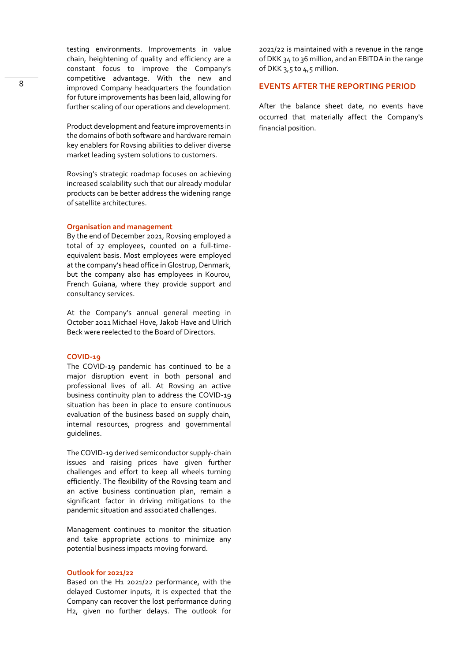testing environments. Improvements in value chain, heightening of quality and efficiency are a constant focus to improve the Company's competitive advantage. With the new and improved Company headquarters the foundation for future improvements has been laid, allowing for further scaling of our operations and development.

Product development and feature improvements in the domains of both software and hardware remain key enablers for Rovsing abilities to deliver diverse market leading system solutions to customers.

Rovsing's strategic roadmap focuses on achieving increased scalability such that our already modular products can be better address the widening range of satellite architectures.

#### **Organisation and management**

By the end of December 2021, Rovsing employed a total of 27 employees, counted on a full-timeequivalent basis. Most employees were employed at the company's head office in Glostrup, Denmark, but the company also has employees in Kourou, French Guiana, where they provide support and consultancy services.

At the Company's annual general meeting in October 2021 Michael Hove, Jakob Have and Ulrich Beck were reelected to the Board of Directors.

#### **COVID-19**

The COVID-19 pandemic has continued to be a major disruption event in both personal and professional lives of all. At Rovsing an active business continuity plan to address the COVID-19 situation has been in place to ensure continuous evaluation of the business based on supply chain, internal resources, progress and governmental guidelines.

The COVID-19 derived semiconductor supply-chain issues and raising prices have given further challenges and effort to keep all wheels turning efficiently. The flexibility of the Rovsing team and an active business continuation plan, remain a significant factor in driving mitigations to the pandemic situation and associated challenges.

Management continues to monitor the situation and take appropriate actions to minimize any potential business impacts moving forward.

#### **Outlook for 2021/22**

Based on the H1 2021/22 performance, with the delayed Customer inputs, it is expected that the Company can recover the lost performance during H2, given no further delays. The outlook for

2021/22 is maintained with a revenue in the range of DKK 34 to 36 million, and an EBITDA in the range of DKK 3,5 to 4,5 million.

#### **EVENTS AFTER THE REPORTING PERIOD**

After the balance sheet date, no events have occurred that materially affect the Company's financial position.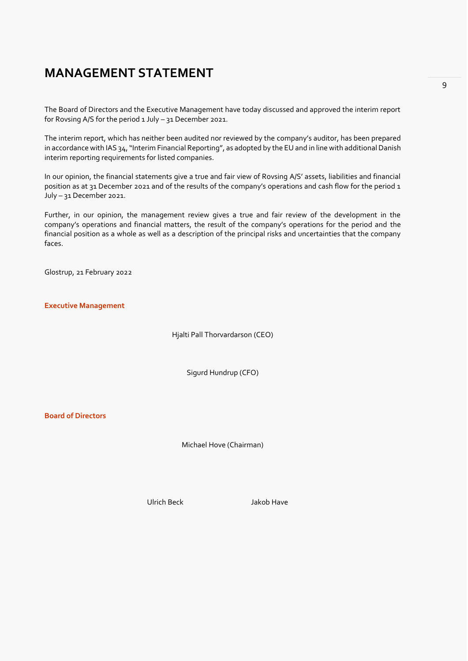### <span id="page-8-0"></span>**MANAGEMENT STATEMENT**

The Board of Directors and the Executive Management have today discussed and approved the interim report for Rovsing A/S for the period 1 July – 31 December 2021.

The interim report, which has neither been audited nor reviewed by the company's auditor, has been prepared in accordance with IAS 34, "Interim Financial Reporting", as adopted by the EU and in line with additional Danish interim reporting requirements for listed companies.

In our opinion, the financial statements give a true and fair view of Rovsing A/S' assets, liabilities and financial position as at 31 December 2021 and of the results of the company's operations and cash flow for the period 1 July – 31 December 2021.

Further, in our opinion, the management review gives a true and fair review of the development in the company's operations and financial matters, the result of the company's operations for the period and the financial position as a whole as well as a description of the principal risks and uncertainties that the company faces.

Glostrup, 21 February 2022

**Executive Management**

Hjalti Pall Thorvardarson (CEO)

Sigurd Hundrup (CFO)

**Board of Directors**

Michael Hove (Chairman)

Ulrich Beck Jakob Have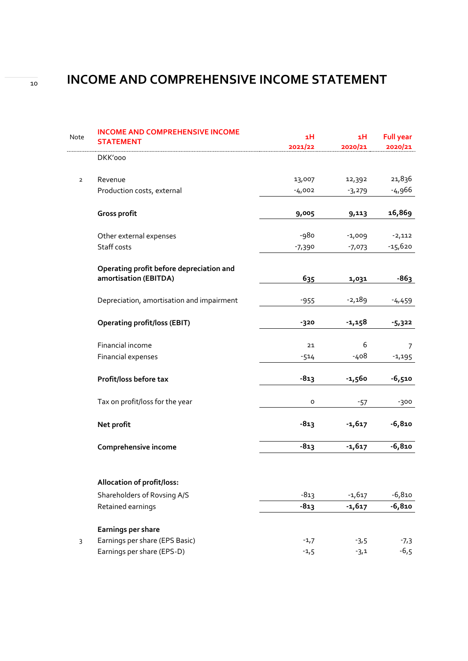## <sup>10</sup> **INCOME AND COMPREHENSIVE INCOME STATEMENT**

| Note           | <b>INCOME AND COMPREHENSIVE INCOME</b><br><b>STATEMENT</b> | 1H       | 1H       | <b>Full year</b> |
|----------------|------------------------------------------------------------|----------|----------|------------------|
|                |                                                            | 2021/22  | 2020/21  | 2020/21          |
|                | DKK'000                                                    |          |          |                  |
| $\overline{2}$ | Revenue                                                    | 13,007   | 12,392   | 21,836           |
|                | Production costs, external                                 | $-4,002$ | $-3,279$ | -4,966           |
|                | Gross profit                                               | 9,005    | 9,113    | 16,869           |
|                | Other external expenses                                    | -980     | $-1,009$ | $-2,112$         |
|                | Staff costs                                                | $-7,390$ | $-7,073$ | $-15,620$        |
|                | Operating profit before depreciation and                   |          |          |                  |
|                | amortisation (EBITDA)                                      | 635      | 1,031    | $-863$           |
|                | Depreciation, amortisation and impairment                  | $-955$   | $-2,189$ | $-4,459$         |
|                | <b>Operating profit/loss (EBIT)</b>                        | -320     | $-1,158$ | $-5,322$         |
|                | Financial income                                           | 21       | 6        | $\overline{7}$   |
|                | Financial expenses                                         | $-514$   | -408     | $-1,195$         |
|                | Profit/loss before tax                                     | $-813$   | $-1,560$ | $-6,510$         |
|                | Tax on profit/loss for the year                            | o        | $-57$    | $-300$           |
|                | Net profit                                                 | $-813$   | $-1,617$ | $-6,810$         |
|                | Comprehensive income                                       | $-813$   | $-1,617$ | $-6,810$         |
|                | Allocation of profit/loss:                                 |          |          |                  |
|                | Shareholders of Rovsing A/S                                | $-813$   | $-1,617$ | $-6,810$         |
|                | Retained earnings                                          | $-813$   | $-1,617$ | $-6,810$         |
|                | Earnings per share                                         |          |          |                  |
| $\mathsf{3}$   | Earnings per share (EPS Basic)                             | $-1,7$   | $-3,5$   | $-7,3$           |
|                | Earnings per share (EPS-D)                                 | $-1,5$   | $-3,1$   | $-6,5$           |

<span id="page-9-0"></span>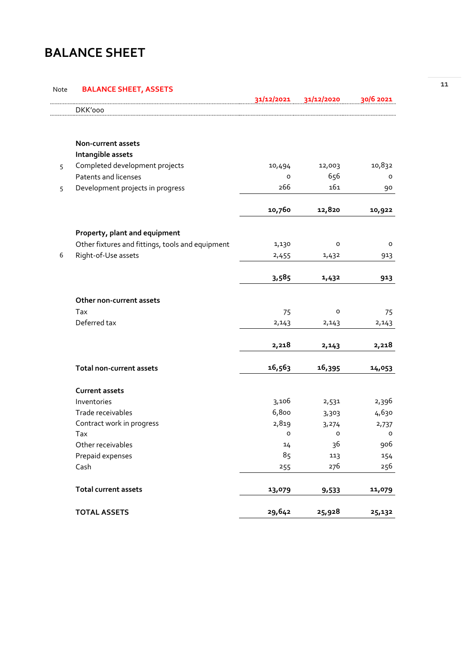### <span id="page-10-0"></span>**BALANCE SHEET**

#### Note **BALANCE SHEET, ASSETS**

|   |                                                  | 31/12/2021 | 31/12/2020 | 30/6 2021 |
|---|--------------------------------------------------|------------|------------|-----------|
|   | DKK'000                                          |            |            |           |
|   |                                                  |            |            |           |
|   | Non-current assets                               |            |            |           |
|   | Intangible assets                                |            |            |           |
| 5 | Completed development projects                   | 10,494     | 12,003     | 10,832    |
|   | Patents and licenses                             | $\circ$    | 656        | o         |
| 5 | Development projects in progress                 | 266        | 161        | 90        |
|   |                                                  | 10,760     | 12,820     | 10,922    |
|   | Property, plant and equipment                    |            |            |           |
|   | Other fixtures and fittings, tools and equipment | 1,130      | о          | o         |
| 6 | Right-of-Use assets                              | 2,455      | 1,432      | 913       |
|   |                                                  |            |            |           |
|   |                                                  | 3,585      | 1,432      | 913       |
|   | Other non-current assets                         |            |            |           |
|   | Tax                                              | 75         | 0          | 75        |
|   | Deferred tax                                     | 2,143      | 2,143      | 2,143     |
|   |                                                  |            |            |           |
|   |                                                  | 2,218      | 2,143      | 2,218     |
|   | Total non-current assets                         | 16,563     | 16,395     | 14,053    |
|   | <b>Current assets</b>                            |            |            |           |
|   | Inventories                                      | 3,106      | 2,531      | 2,396     |
|   | Trade receivables                                | 6,800      | 3,303      | 4,630     |
|   | Contract work in progress                        | 2,819      | 3,274      | 2,737     |
|   | Tax                                              | 0          | 0          | о         |
|   | Other receivables                                | 14         | 36         | 906       |
|   | Prepaid expenses                                 | 85         | 113        | 154       |
|   | Cash                                             | 255        | 276        | 256       |
|   | <b>Total current assets</b>                      | 13,079     | 9,533      | 11,079    |
|   | <b>TOTAL ASSETS</b>                              | 29,642     | 25,928     | 25,132    |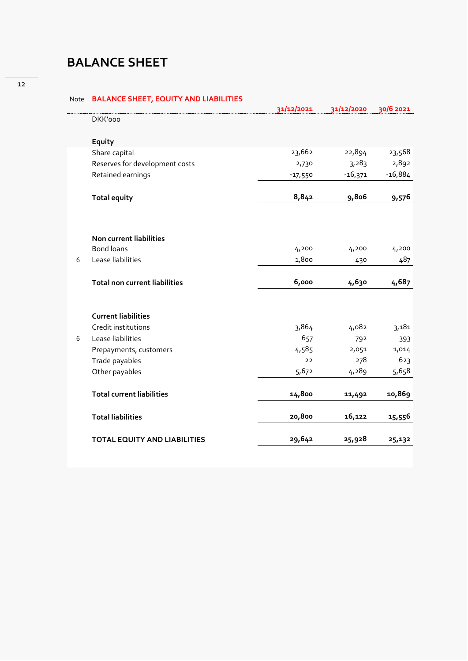### <span id="page-11-0"></span>**BALANCE SHEET**

Note **BALANCE SHEET, EQUITY AND LIABILITIES**

|   |                                      | 31/12/2021 | 31/12/2020 | 30/6 2021 |
|---|--------------------------------------|------------|------------|-----------|
|   | DKK'000                              |            |            |           |
|   | Equity                               |            |            |           |
|   | Share capital                        | 23,662     | 22,894     | 23,568    |
|   | Reserves for development costs       | 2,730      | 3,283      | 2,892     |
|   | Retained earnings                    | $-17,550$  | $-16,371$  | $-16,884$ |
|   | <b>Total equity</b>                  | 8,842      | 9,806      | 9,576     |
|   |                                      |            |            |           |
|   | Non current liabilities              |            |            |           |
|   | <b>Bond loans</b>                    | 4,200      | 4,200      | 4,200     |
| 6 | Lease liabilities                    | 1,800      | 430        | 487       |
|   | <b>Total non current liabilities</b> | 6,000      | 4,630      | 4,687     |
|   | <b>Current liabilities</b>           |            |            |           |
|   | Credit institutions                  | 3,864      | 4,082      | 3,181     |
| 6 | Lease liabilities                    | 657        | 792        | 393       |
|   | Prepayments, customers               | 4,585      | 2,051      | 1,014     |
|   | Trade payables                       | 22         | 278        | 623       |
|   | Other payables                       | 5,672      | 4,289      | 5,658     |
|   | <b>Total current liabilities</b>     | 14,800     | 11,492     | 10,869    |
|   | <b>Total liabilities</b>             | 20,800     | 16,122     | 15,556    |
|   | <b>TOTAL EQUITY AND LIABILITIES</b>  | 29,642     | 25,928     | 25,132    |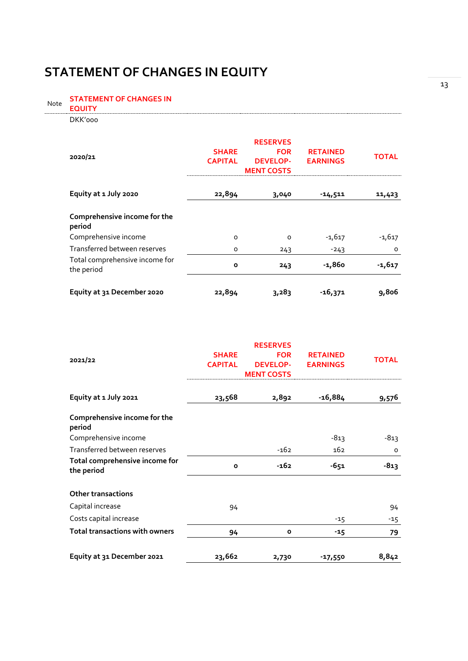### <span id="page-12-0"></span>**STATEMENT OF CHANGES IN EQUITY**

STATEMENT OF CHANGES IN **EQUITY** Note **EQUITY** DKK'000

| 2020/21                                      | <b>SHARE</b><br><b>CAPITAL</b> | <b>RESERVES</b><br><b>FOR</b><br><b>DEVELOP-</b><br><b>MENT COSTS</b> | <b>RETAINED</b><br><b>EARNINGS</b> | <b>TOTAL</b> |
|----------------------------------------------|--------------------------------|-----------------------------------------------------------------------|------------------------------------|--------------|
| Equity at 1 July 2020                        | 22,894                         | 3,040                                                                 | -14,511                            | 11,423       |
| Comprehensive income for the<br>period       |                                |                                                                       |                                    |              |
| Comprehensive income                         | O                              | $\Omega$                                                              | $-1,617$                           | $-1,617$     |
| Transferred between reserves                 | $\Omega$                       | 243                                                                   | $-243$                             | $\Omega$     |
| Total comprehensive income for<br>the period | $\mathbf{o}$                   | 243                                                                   | -1,860                             | $-1,617$     |
| Equity at 31 December 2020                   | 22,894                         | 3,283                                                                 | -16,371                            | 9,806        |

|                                        |                | <b>RESERVES</b>   |                 |              |
|----------------------------------------|----------------|-------------------|-----------------|--------------|
| 2021/22                                | <b>SHARE</b>   | <b>FOR</b>        | <b>RETAINED</b> | <b>TOTAL</b> |
|                                        | <b>CAPITAL</b> | <b>DEVELOP-</b>   | <b>EARNINGS</b> |              |
|                                        |                | <b>MENT COSTS</b> |                 |              |
| Equity at 1 July 2021                  | 23,568         | 2,892             | $-16,884$       | 9,576        |
| Comprehensive income for the<br>period |                |                   |                 |              |
| Comprehensive income                   |                |                   | $-813$          | $-813$       |
| Transferred between reserves           |                | $-162$            | 162             | $\circ$      |
| Total comprehensive income for         | $\mathbf{o}$   | $-162$            | $-651$          | $-813$       |
| the period                             |                |                   |                 |              |
| <b>Other transactions</b>              |                |                   |                 |              |
| Capital increase                       | 94             |                   |                 | 94           |
| Costs capital increase                 |                |                   | $-15$           | -15          |
| <b>Total transactions with owners</b>  | 94             | $\mathbf{o}$      | $-15$           | 79           |
| Equity at 31 December 2021             | 23,662         | 2,730             | $-17,550$       | 8,842        |

13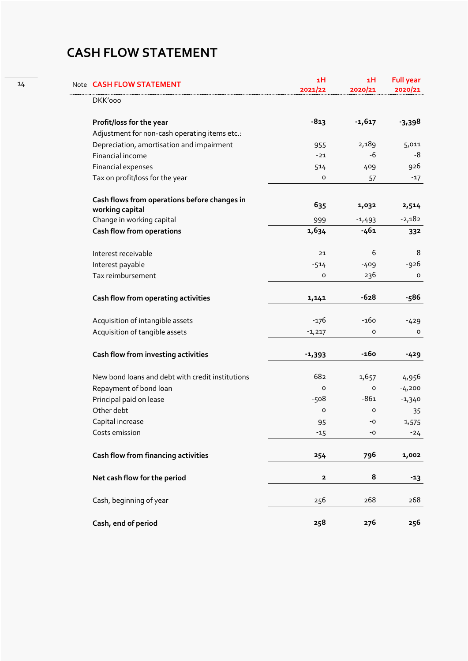## <span id="page-13-0"></span>**CASH FLOW STATEMENT**

| Note CASH FLOW STATEMENT                                        | 1H<br>2021/22 | 1H<br>2020/21 | <b>Full year</b><br>2020/21 |
|-----------------------------------------------------------------|---------------|---------------|-----------------------------|
| DKK'000                                                         |               |               |                             |
| Profit/loss for the year                                        | $-813$        | $-1,617$      | $-3,398$                    |
| Adjustment for non-cash operating items etc.:                   |               |               |                             |
| Depreciation, amortisation and impairment                       | 955           | 2,189         | 5,011                       |
| Financial income                                                | $-21$         | $-6$          | $-8$                        |
| Financial expenses                                              | 514           | 409           | 926                         |
| Tax on profit/loss for the year                                 | o             | 57            | $-17$                       |
| Cash flows from operations before changes in<br>working capital | 635           | 1,032         | 2,514                       |
| Change in working capital                                       | 999           | $-1,493$      | $-2,182$                    |
| Cash flow from operations                                       | 1,634         | $-461$        | 332                         |
| Interest receivable                                             | 21            | 6             | 8                           |
| Interest payable                                                | $-514$        | $-409$        | -926                        |
| Tax reimbursement                                               | o             | 236           | $\mathsf{o}$                |
| Cash flow from operating activities                             | 1,141         | $-628$        | $-586$                      |
| Acquisition of intangible assets                                | $-176$        | $-160$        | $-429$                      |
| Acquisition of tangible assets                                  | $-1,217$      | o             | o                           |
| Cash flow from investing activities                             | $-1,393$      | $-160$        | $-429$                      |
| New bond loans and debt with credit institutions                | 682           | 1,657         | 4,956                       |
| Repayment of bond loan                                          | $\circ$       | 0             | $-4,200$                    |
| Principal paid on lease                                         | -508          | $-861$        | $-1,340$                    |
| Other debt                                                      | o             | 0             | 35                          |
| Capital increase                                                | 95            | -0            | 1,575                       |
| Costs emission                                                  | $-15$         | $-O$          | $-24$                       |
| Cash flow from financing activities                             | 254           | 796           | 1,002                       |
| Net cash flow for the period                                    | $\mathbf{2}$  | 8             | $-13$                       |
| Cash, beginning of year                                         | 256           | 268           | 268                         |
| Cash, end of period                                             | 258           | 276           | 256                         |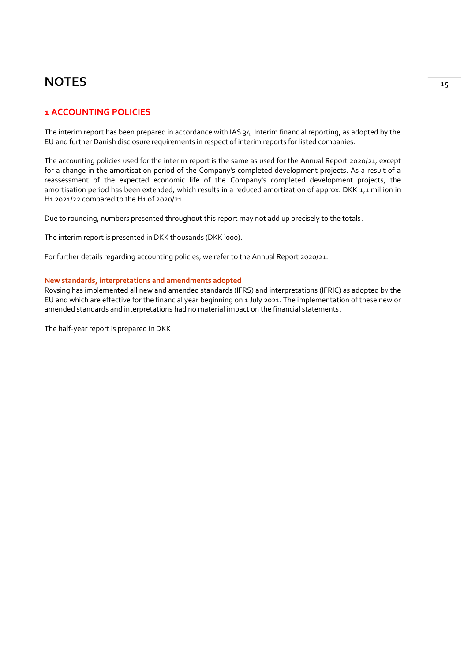### **NOTES**  $\frac{1}{15}$

### **1 ACCOUNTING POLICIES**

The interim report has been prepared in accordance with IAS 34, Interim financial reporting, as adopted by the EU and further Danish disclosure requirements in respect of interim reports for listed companies.

The accounting policies used for the interim report is the same as used for the Annual Report 2020/21, except for a change in the amortisation period of the Company's completed development projects. As a result of a reassessment of the expected economic life of the Company's completed development projects, the amortisation period has been extended, which results in a reduced amortization of approx. DKK 1,1 million in H1 2021/22 compared to the H1 of 2020/21.

Due to rounding, numbers presented throughout this report may not add up precisely to the totals.

The interim report is presented in DKK thousands (DKK '000).

For further details regarding accounting policies, we refer to the Annual Report 2020/21.

#### **New standards, interpretations and amendments adopted**

Rovsing has implemented all new and amended standards (IFRS) and interpretations (IFRIC) as adopted by the EU and which are effective for the financial year beginning on 1 July 2021. The implementation of these new or amended standards and interpretations had no material impact on the financial statements.

The half-year report is prepared in DKK.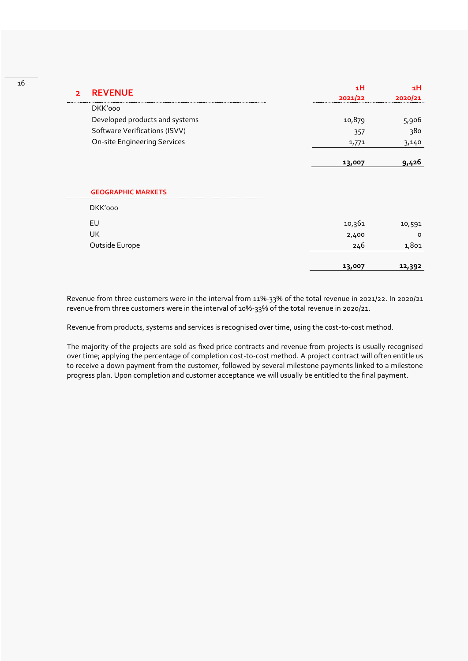| $\overline{2}$ | <b>REVENUE</b>                      | 1H      | 1H      |
|----------------|-------------------------------------|---------|---------|
|                |                                     | 2021/22 | 2020/21 |
|                | DKK'000                             |         |         |
|                | Developed products and systems      | 10,879  | 5,906   |
|                | Software Verifications (ISVV)       | 357     | 380     |
|                | <b>On-site Engineering Services</b> | 1,771   | 3,140   |
|                |                                     | 13,007  | 9,426   |
|                |                                     |         |         |
|                | <b>GEOGRAPHIC MARKETS</b>           |         |         |
|                |                                     |         |         |
|                | DKK'000                             |         |         |
|                | EU                                  | 10,361  | 10,591  |
|                | UK                                  | 2,400   | $\circ$ |
|                | Outside Europe                      | 246     | 1,801   |

Revenue from three customers were in the interval from 11%-33% of the total revenue in 2021/22. In 2020/21 revenue from three customers were in the interval of 10%-33% of the total revenue in 2020/21.

Revenue from products, systems and services is recognised over time, using the cost-to-cost method.

The majority of the projects are sold as fixed price contracts and revenue from projects is usually recognised over time; applying the percentage of completion cost-to-cost method. A project contract will often entitle us to receive a down payment from the customer, followed by several milestone payments linked to a milestone progress plan. Upon completion and customer acceptance we will usually be entitled to the final payment.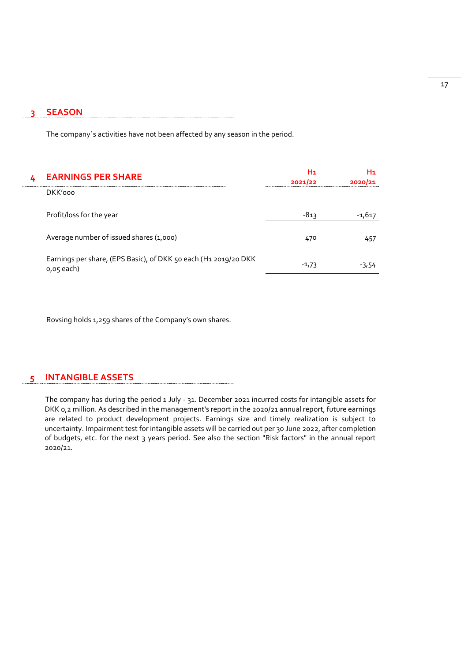#### **3 SEASON**

The company´s activities have not been affected by any season in the period.

| <b>EARNINGS PER SHARE</b>                                                     | H1<br>2021/22 | H١<br>2020/21 |
|-------------------------------------------------------------------------------|---------------|---------------|
| DKK'000                                                                       |               |               |
| Profit/loss for the year                                                      | -813          | -1,617        |
| Average number of issued shares (1,000)                                       | 470           | 457           |
| Earnings per share, (EPS Basic), of DKK 50 each (H1 2019/20 DKK<br>o,o5 each) | $-1,73$       | -3,54         |

Rovsing holds 1,259 shares of the Company's own shares.

#### **5 INTANGIBLE ASSETS**

The company has during the period 1 July - 31. December 2021 incurred costs for intangible assets for DKK 0,2 million. As described in the management's report in the 2020/21 annual report, future earnings are related to product development projects. Earnings size and timely realization is subject to uncertainty. Impairment test for intangible assets will be carried out per 30 June 2022, after completion of budgets, etc. for the next 3 years period. See also the section "Risk factors" in the annual report 2020/21.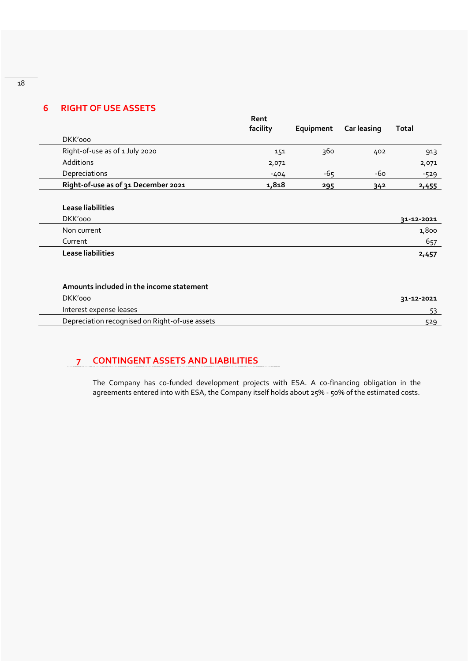### **6 RIGHT OF USE ASSETS**

|                                     | Rent<br>facility | Equipment | <b>Car leasing</b> | <b>Total</b> |
|-------------------------------------|------------------|-----------|--------------------|--------------|
| DKK'000                             |                  |           |                    |              |
| Right-of-use as of 1 July 2020      | 151              | 360       | 402                | 913          |
| <b>Additions</b>                    | 2,071            |           |                    | 2,071        |
| Depreciations                       | $-404$           | $-65$     | -60                | $-529$       |
| Right-of-use as of 31 December 2021 | 1,818            | 295       | 34 <sup>2</sup>    | 2,455        |
| Lease liabilities                   |                  |           |                    | 31-12-2021   |
| DKK'000                             |                  |           |                    |              |
| Non current                         |                  |           |                    | 1,800        |
|                                     |                  |           |                    |              |
| Current                             |                  |           |                    | 657          |

| DKK'ooo                                        | 31-12-2021 |
|------------------------------------------------|------------|
| Interest expense leases                        |            |
| Depreciation recognised on Right-of-use assets | 529        |
|                                                |            |

### **7 CONTINGENT ASSETS AND LIABILITIES**

The Company has co-funded development projects with ESA. A co-financing obligation in the agreements entered into with ESA, the Company itself holds about 25% - 50% of the estimated costs.

18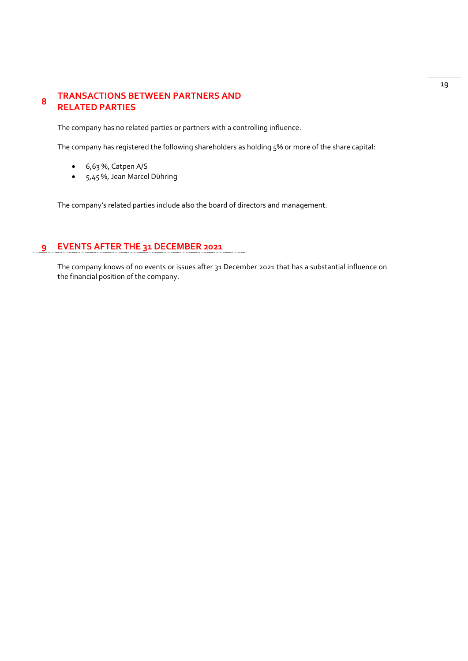#### **8 TRANSACTIONS BETWEEN PARTNERS AND RELATED PARTIES**

The company has no related parties or partners with a controlling influence.

The company has registered the following shareholders as holding 5% or more of the share capital:

- 6,63 %, Catpen A/S
- 5,45 %, Jean Marcel Dühring

The company's related parties include also the board of directors and management.

### **9 EVENTS AFTER THE 31 DECEMBER 2021**

The company knows of no events or issues after 31 December 2021 that has a substantial influence on the financial position of the company.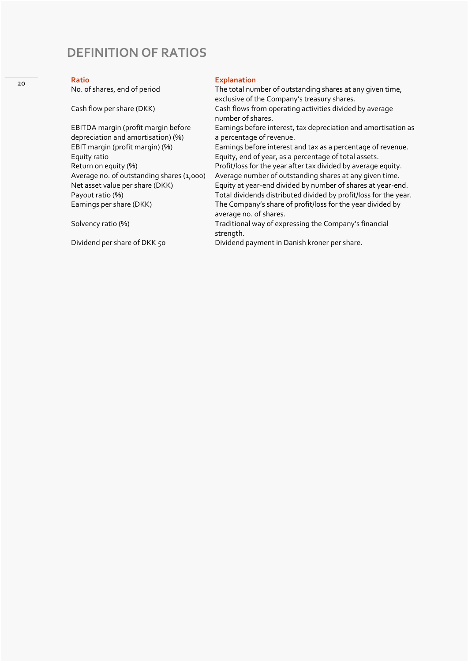### <span id="page-19-0"></span>**DEFINITION OF RATIOS**

#### 20

**Ratio**<br> **No. of shares, end of period**<br> **Explanation**<br> **Explanation** 

EBITDA margin (profit margin before depreciation and amortisation) (%)<br>EBIT margin (profit margin) (%) Equity ratio Equity, end of year, as a percentage of total assets.<br>
Return on equity (%) end of year after tax divided by average

The total number of outstanding shares at any given time, exclusive of the Company's treasury shares.

Cash flow per share (DKK) Cash flows from operating activities divided by average number of shares.

Earnings before interest, tax depreciation and amortisation as a percentage of revenue.

Earnings before interest and tax as a percentage of revenue.

Return on equity (%) Profit/loss for the year after tax divided by average equity.<br>Average no. of outstanding shares (1,000) Average number of outstanding shares at any given time. Average no. of outstanding shares (1,000) Average number of outstanding shares at any given time.<br>Net asset value per share (DKK) Equity at year-end divided by number of shares at year-er Net asset value per share (DKK) Equity at year-end divided by number of shares at year-end.<br>Payout ratio (%) For all dividends distributed divided by profit/loss for the year Total dividends distributed divided by profit/loss for the year. Earnings per share (DKK) The Company's share of profit/loss for the year divided by average no. of shares.

Solvency ratio (%) Traditional way of expressing the Company's financial strength.

Dividend per share of DKK 50 Dividend payment in Danish kroner per share.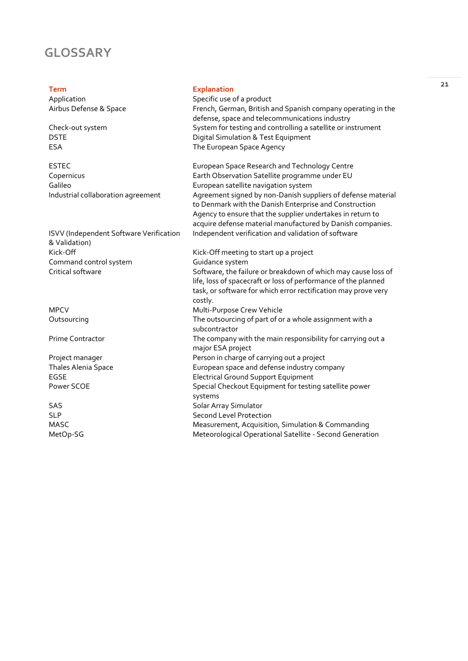### <span id="page-20-0"></span>**GLOSSARY**

ISVV (Independent Software Verification & Validation)<br>Kick-Off Command control system<br>Critical software

#### **Term Explanation**

| Application            | Specific use of a product                                                                                      |  |
|------------------------|----------------------------------------------------------------------------------------------------------------|--|
| Airbus Defense & Space | French, German, British and Spanish company operating in the<br>defense, space and telecommunications industry |  |
| Check-out system       | System for testing and controlling a satellite or instrument                                                   |  |
| DSTE                   | Digital Simulation & Test Equipment                                                                            |  |
| ESA                    | The European Space Agency                                                                                      |  |
|                        |                                                                                                                |  |

ESTEC<br>
European Space Research and Technology Centre<br>
Earth Observation Satellite programme under EU Copernicus Copernicus Earth Observation Satellite programme under EU<br>
European satellite navigation system Galileo<br>Industrial collaboration agreement Furopean satellite navigation system<br>Agreement signed by non-Danish sup Agreement signed by non-Danish suppliers of defense material to Denmark with the Danish Enterprise and Construction Agency to ensure that the supplier undertakes in return to acquire defense material manufactured by Danish companies. Independent verification and validation of software

Kick-Off meeting to start up a project<br>Guidance system Software, the failure or breakdown of which may cause loss of life, loss of spacecraft or loss of performance of the planned task, or software for which error rectification may prove very costly. MPCV Multi-Purpose Crew Vehicle Outsourcing The outsourcing of part of or a whole assignment with a Quite subcontractor Prime Contractor The company with the main responsibility for carrying out a major ESA project Project manager **Project manager** Person in charge of carrying out a project Thales Alenia Space European space and defense industry company EGSE Electrical Ground Support Equipment Power SCOE Special Checkout Equipment for testing satellite power systems

SAS SAS SOLAR SOLAR ARRAY Simulator SLP<br>
Second Level Protection<br>
MASC Measurement, Acquisitic MASC MEASO Measurement, Acquisition, Simulation & Commanding<br>Meteorological Operational Satellite - Second Generati Meteorological Operational Satellite - Second Generation